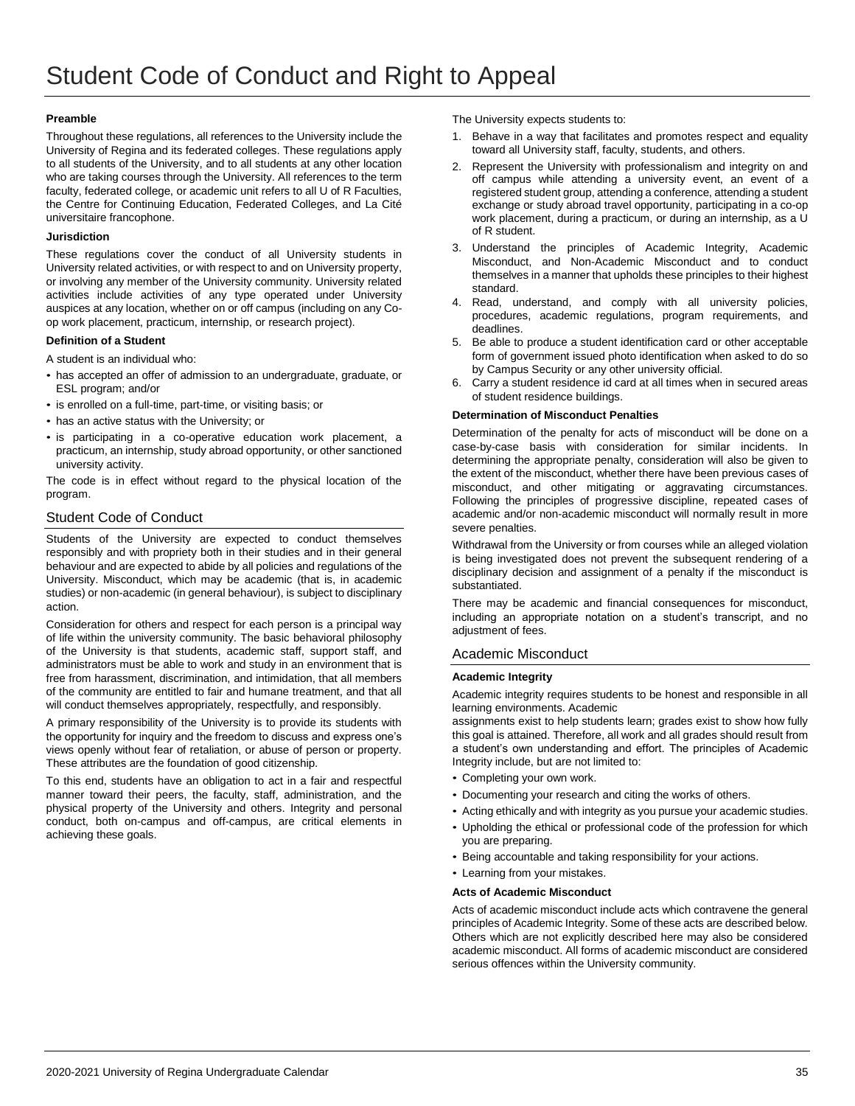## **Preamble**

Throughout these regulations, all references to the University include the University of Regina and its federated colleges. These regulations apply to all students of the University, and to all students at any other location who are taking courses through the University. All references to the term faculty, federated college, or academic unit refers to all U of R Faculties, the Centre for Continuing Education, Federated Colleges, and La Cité universitaire francophone.

## **Jurisdiction**

These regulations cover the conduct of all University students in University related activities, or with respect to and on University property, or involving any member of the University community. University related activities include activities of any type operated under University auspices at any location, whether on or off campus (including on any Coop work placement, practicum, internship, or research project).

## **Definition of a Student**

A student is an individual who:

- has accepted an offer of admission to an undergraduate, graduate, or ESL program; and/or
- is enrolled on a full-time, part-time, or visiting basis; or
- has an active status with the University; or
- is participating in a co-operative education work placement, a practicum, an internship, study abroad opportunity, or other sanctioned university activity.

The code is in effect without regard to the physical location of the program.

# Student Code of Conduct

Students of the University are expected to conduct themselves responsibly and with propriety both in their studies and in their general behaviour and are expected to abide by all policies and regulations of the University. Misconduct, which may be academic (that is, in academic studies) or non-academic (in general behaviour), is subject to disciplinary action.

Consideration for others and respect for each person is a principal way of life within the university community. The basic behavioral philosophy of the University is that students, academic staff, support staff, and administrators must be able to work and study in an environment that is free from harassment, discrimination, and intimidation, that all members of the community are entitled to fair and humane treatment, and that all will conduct themselves appropriately, respectfully, and responsibly.

A primary responsibility of the University is to provide its students with the opportunity for inquiry and the freedom to discuss and express one's views openly without fear of retaliation, or abuse of person or property. These attributes are the foundation of good citizenship.

To this end, students have an obligation to act in a fair and respectful manner toward their peers, the faculty, staff, administration, and the physical property of the University and others. Integrity and personal conduct, both on-campus and off-campus, are critical elements in achieving these goals.

The University expects students to:

- 1. Behave in a way that facilitates and promotes respect and equality toward all University staff, faculty, students, and others.
- 2. Represent the University with professionalism and integrity on and off campus while attending a university event, an event of a registered student group, attending a conference, attending a student exchange or study abroad travel opportunity, participating in a co-op work placement, during a practicum, or during an internship, as a U of R student.
- 3. Understand the principles of Academic Integrity, Academic Misconduct, and Non-Academic Misconduct and to conduct themselves in a manner that upholds these principles to their highest standard.
- Read, understand, and comply with all university policies, procedures, academic regulations, program requirements, and deadlines.
- 5. Be able to produce a student identification card or other acceptable form of government issued photo identification when asked to do so by Campus Security or any other university official.
- 6. Carry a student residence id card at all times when in secured areas of student residence buildings.

## **Determination of Misconduct Penalties**

Determination of the penalty for acts of misconduct will be done on a case-by-case basis with consideration for similar incidents. In determining the appropriate penalty, consideration will also be given to the extent of the misconduct, whether there have been previous cases of misconduct, and other mitigating or aggravating circumstances. Following the principles of progressive discipline, repeated cases of academic and/or non-academic misconduct will normally result in more severe penalties.

Withdrawal from the University or from courses while an alleged violation is being investigated does not prevent the subsequent rendering of a disciplinary decision and assignment of a penalty if the misconduct is substantiated.

There may be academic and financial consequences for misconduct, including an appropriate notation on a student's transcript, and no adjustment of fees.

# Academic Misconduct

## **Academic Integrity**

Academic integrity requires students to be honest and responsible in all learning environments. Academic

assignments exist to help students learn; grades exist to show how fully this goal is attained. Therefore, all work and all grades should result from a student's own understanding and effort. The principles of Academic Integrity include, but are not limited to:

- Completing your own work.
- Documenting your research and citing the works of others.
- Acting ethically and with integrity as you pursue your academic studies.
- Upholding the ethical or professional code of the profession for which you are preparing.
- Being accountable and taking responsibility for your actions.
- Learning from your mistakes.

## **Acts of Academic Misconduct**

Acts of academic misconduct include acts which contravene the general principles of Academic Integrity. Some of these acts are described below. Others which are not explicitly described here may also be considered academic misconduct. All forms of academic misconduct are considered serious offences within the University community.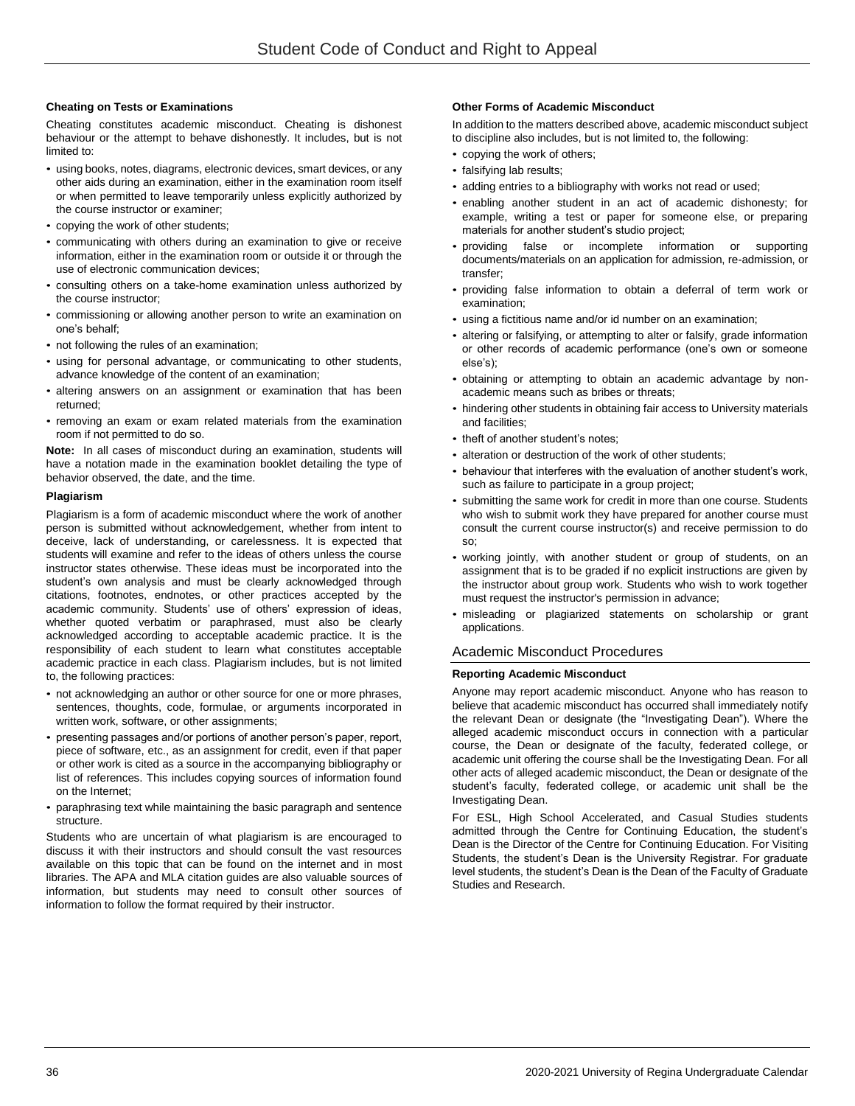## **Cheating on Tests or Examinations**

Cheating constitutes academic misconduct. Cheating is dishonest behaviour or the attempt to behave dishonestly. It includes, but is not limited to:

- using books, notes, diagrams, electronic devices, smart devices, or any other aids during an examination, either in the examination room itself or when permitted to leave temporarily unless explicitly authorized by the course instructor or examiner;
- copying the work of other students;
- communicating with others during an examination to give or receive information, either in the examination room or outside it or through the use of electronic communication devices;
- consulting others on a take-home examination unless authorized by the course instructor;
- commissioning or allowing another person to write an examination on one's behalf;
- not following the rules of an examination;
- using for personal advantage, or communicating to other students, advance knowledge of the content of an examination;
- altering answers on an assignment or examination that has been returned;
- removing an exam or exam related materials from the examination room if not permitted to do so.

**Note:** In all cases of misconduct during an examination, students will have a notation made in the examination booklet detailing the type of behavior observed, the date, and the time.

## **Plagiarism**

Plagiarism is a form of academic misconduct where the work of another person is submitted without acknowledgement, whether from intent to deceive, lack of understanding, or carelessness. It is expected that students will examine and refer to the ideas of others unless the course instructor states otherwise. These ideas must be incorporated into the student's own analysis and must be clearly acknowledged through citations, footnotes, endnotes, or other practices accepted by the academic community. Students' use of others' expression of ideas, whether quoted verbatim or paraphrased, must also be clearly acknowledged according to acceptable academic practice. It is the responsibility of each student to learn what constitutes acceptable academic practice in each class. Plagiarism includes, but is not limited to, the following practices:

- not acknowledging an author or other source for one or more phrases, sentences, thoughts, code, formulae, or arguments incorporated in written work, software, or other assignments;
- presenting passages and/or portions of another person's paper, report, piece of software, etc., as an assignment for credit, even if that paper or other work is cited as a source in the accompanying bibliography or list of references. This includes copying sources of information found on the Internet;
- paraphrasing text while maintaining the basic paragraph and sentence structure.

Students who are uncertain of what plagiarism is are encouraged to discuss it with their instructors and should consult the vast resources available on this topic that can be found on the internet and in most libraries. The APA and MLA citation guides are also valuable sources of information, but students may need to consult other sources of information to follow the format required by their instructor.

## **Other Forms of Academic Misconduct**

In addition to the matters described above, academic misconduct subject to discipline also includes, but is not limited to, the following:

- copying the work of others;
- falsifying lab results;
- adding entries to a bibliography with works not read or used;
- enabling another student in an act of academic dishonesty; for example, writing a test or paper for someone else, or preparing materials for another student's studio project;
- providing false or incomplete information or supporting documents/materials on an application for admission, re-admission, or transfer;
- providing false information to obtain a deferral of term work or examination;
- using a fictitious name and/or id number on an examination;
- altering or falsifying, or attempting to alter or falsify, grade information or other records of academic performance (one's own or someone else's);
- obtaining or attempting to obtain an academic advantage by nonacademic means such as bribes or threats;
- hindering other students in obtaining fair access to University materials and facilities;
- theft of another student's notes;
- alteration or destruction of the work of other students:
- behaviour that interferes with the evaluation of another student's work, such as failure to participate in a group project;
- submitting the same work for credit in more than one course. Students who wish to submit work they have prepared for another course must consult the current course instructor(s) and receive permission to do so;
- working jointly, with another student or group of students, on an assignment that is to be graded if no explicit instructions are given by the instructor about group work. Students who wish to work together must request the instructor's permission in advance;
- misleading or plagiarized statements on scholarship or grant applications.

# Academic Misconduct Procedures

## **Reporting Academic Misconduct**

Anyone may report academic misconduct. Anyone who has reason to believe that academic misconduct has occurred shall immediately notify the relevant Dean or designate (the "Investigating Dean"). Where the alleged academic misconduct occurs in connection with a particular course, the Dean or designate of the faculty, federated college, or academic unit offering the course shall be the Investigating Dean. For all other acts of alleged academic misconduct, the Dean or designate of the student's faculty, federated college, or academic unit shall be the Investigating Dean.

For ESL, High School Accelerated, and Casual Studies students admitted through the Centre for Continuing Education, the student's Dean is the Director of the Centre for Continuing Education. For Visiting Students, the student's Dean is the University Registrar. For graduate level students, the student's Dean is the Dean of the Faculty of Graduate Studies and Research.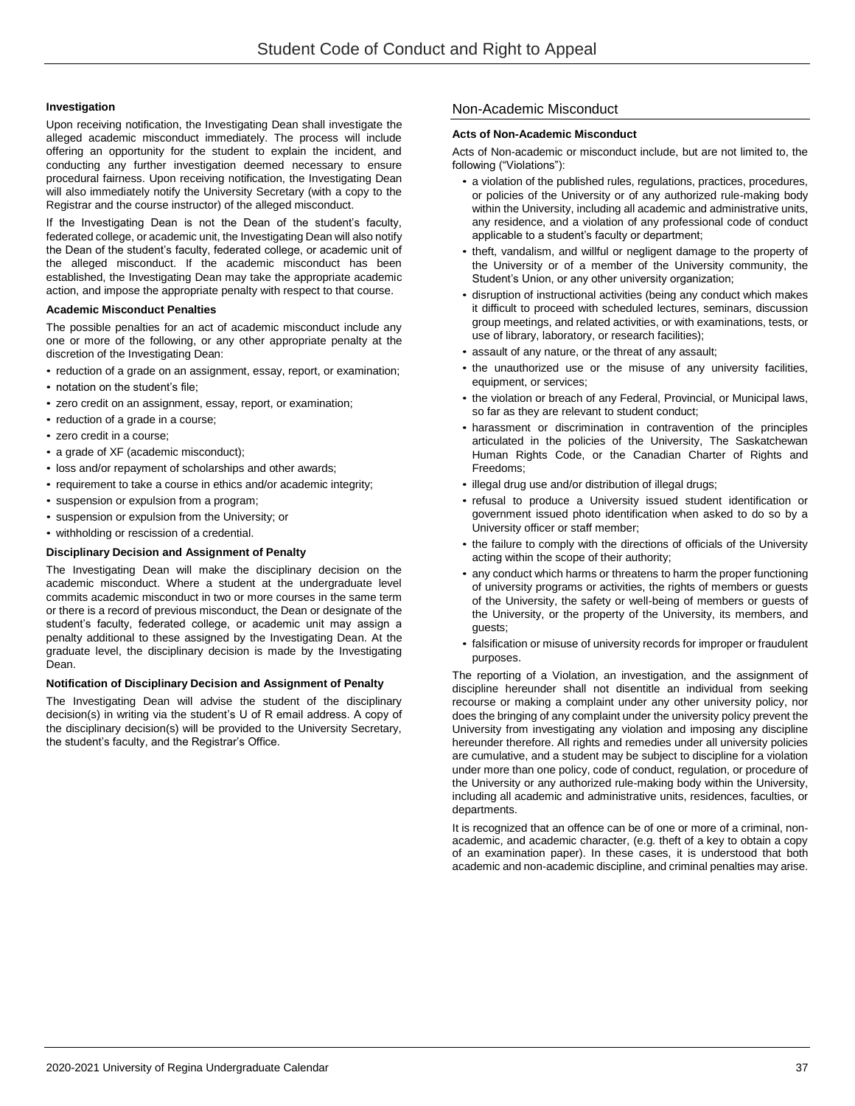## **Investigation**

Upon receiving notification, the Investigating Dean shall investigate the alleged academic misconduct immediately. The process will include offering an opportunity for the student to explain the incident, and conducting any further investigation deemed necessary to ensure procedural fairness. Upon receiving notification, the Investigating Dean will also immediately notify the University Secretary (with a copy to the Registrar and the course instructor) of the alleged misconduct.

If the Investigating Dean is not the Dean of the student's faculty, federated college, or academic unit, the Investigating Dean will also notify the Dean of the student's faculty, federated college, or academic unit of the alleged misconduct. If the academic misconduct has been established, the Investigating Dean may take the appropriate academic action, and impose the appropriate penalty with respect to that course.

#### **Academic Misconduct Penalties**

The possible penalties for an act of academic misconduct include any one or more of the following, or any other appropriate penalty at the discretion of the Investigating Dean:

- reduction of a grade on an assignment, essay, report, or examination; • notation on the student's file;
- zero credit on an assignment, essay, report, or examination;
- reduction of a grade in a course;
- zero credit in a course;
- a grade of XF (academic misconduct);
- loss and/or repayment of scholarships and other awards;
- requirement to take a course in ethics and/or academic integrity;
- suspension or expulsion from a program;
- suspension or expulsion from the University; or
- withholding or rescission of a credential.

#### **Disciplinary Decision and Assignment of Penalty**

The Investigating Dean will make the disciplinary decision on the academic misconduct. Where a student at the undergraduate level commits academic misconduct in two or more courses in the same term or there is a record of previous misconduct, the Dean or designate of the student's faculty, federated college, or academic unit may assign a penalty additional to these assigned by the Investigating Dean. At the graduate level, the disciplinary decision is made by the Investigating Dean.

#### **Notification of Disciplinary Decision and Assignment of Penalty**

The Investigating Dean will advise the student of the disciplinary decision(s) in writing via the student's U of R email address. A copy of the disciplinary decision(s) will be provided to the University Secretary, the student's faculty, and the Registrar's Office.

# Non-Academic Misconduct

#### **Acts of Non-Academic Misconduct**

Acts of Non-academic or misconduct include, but are not limited to, the following ("Violations"):

- a violation of the published rules, regulations, practices, procedures, or policies of the University or of any authorized rule-making body within the University, including all academic and administrative units, any residence, and a violation of any professional code of conduct applicable to a student's faculty or department;
- theft, vandalism, and willful or negligent damage to the property of the University or of a member of the University community, the Student's Union, or any other university organization;
- disruption of instructional activities (being any conduct which makes it difficult to proceed with scheduled lectures, seminars, discussion group meetings, and related activities, or with examinations, tests, or use of library, laboratory, or research facilities);
- assault of any nature, or the threat of any assault;
- the unauthorized use or the misuse of any university facilities, equipment, or services;
- the violation or breach of any Federal, Provincial, or Municipal laws, so far as they are relevant to student conduct;
- harassment or discrimination in contravention of the principles articulated in the policies of the University, The Saskatchewan Human Rights Code, or the Canadian Charter of Rights and Freedoms;
- illegal drug use and/or distribution of illegal drugs;
- refusal to produce a University issued student identification or government issued photo identification when asked to do so by a University officer or staff member;
- the failure to comply with the directions of officials of the University acting within the scope of their authority;
- any conduct which harms or threatens to harm the proper functioning of university programs or activities, the rights of members or guests of the University, the safety or well-being of members or guests of the University, or the property of the University, its members, and guests;
- falsification or misuse of university records for improper or fraudulent purposes.

The reporting of a Violation, an investigation, and the assignment of discipline hereunder shall not disentitle an individual from seeking recourse or making a complaint under any other university policy, nor does the bringing of any complaint under the university policy prevent the University from investigating any violation and imposing any discipline hereunder therefore. All rights and remedies under all university policies are cumulative, and a student may be subject to discipline for a violation under more than one policy, code of conduct, regulation, or procedure of the University or any authorized rule-making body within the University, including all academic and administrative units, residences, faculties, or departments.

It is recognized that an offence can be of one or more of a criminal, nonacademic, and academic character, (e.g. theft of a key to obtain a copy of an examination paper). In these cases, it is understood that both academic and non-academic discipline, and criminal penalties may arise.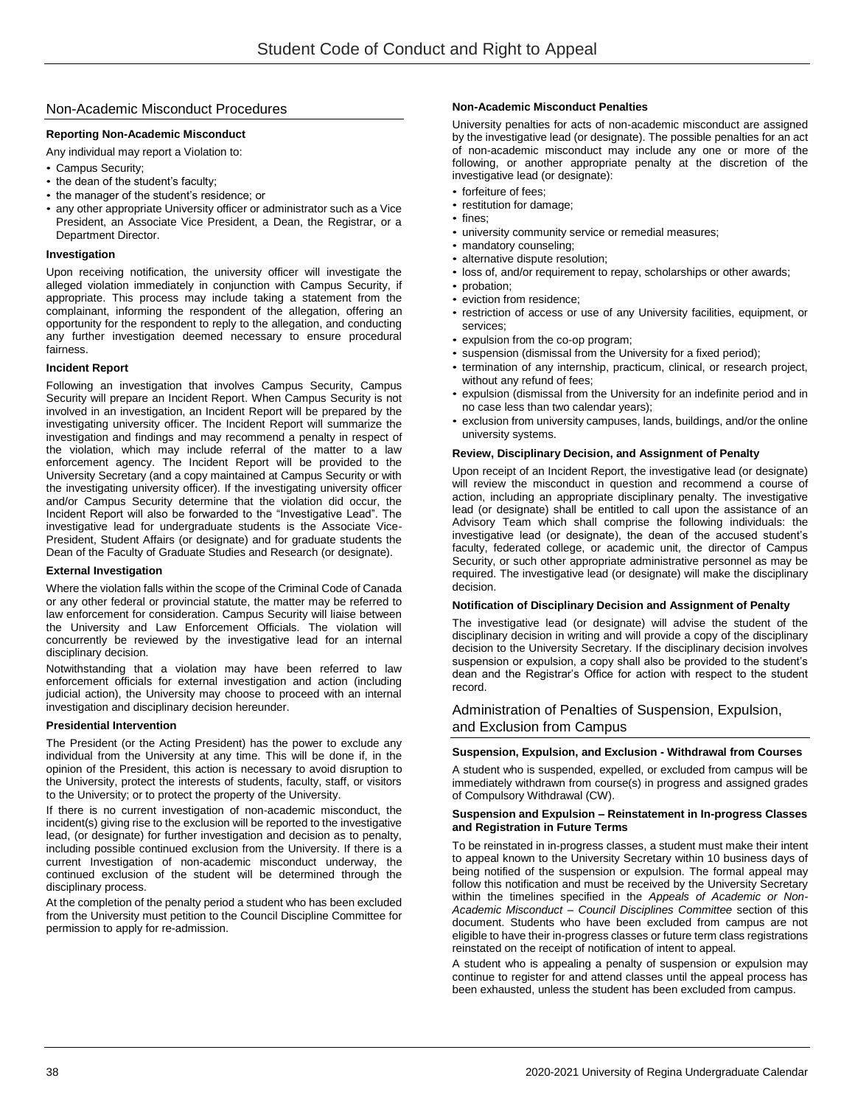# Non-Academic Misconduct Procedures

## **Reporting Non-Academic Misconduct**

Any individual may report a Violation to:

- Campus Security;
- the dean of the student's faculty;
- the manager of the student's residence; or
- any other appropriate University officer or administrator such as a Vice President, an Associate Vice President, a Dean, the Registrar, or a Department Director.

# **Investigation**

Upon receiving notification, the university officer will investigate the alleged violation immediately in conjunction with Campus Security, if appropriate. This process may include taking a statement from the complainant, informing the respondent of the allegation, offering an opportunity for the respondent to reply to the allegation, and conducting any further investigation deemed necessary to ensure procedural fairness.

## **Incident Report**

Following an investigation that involves Campus Security, Campus Security will prepare an Incident Report. When Campus Security is not involved in an investigation, an Incident Report will be prepared by the investigating university officer. The Incident Report will summarize the investigation and findings and may recommend a penalty in respect of the violation, which may include referral of the matter to a law enforcement agency. The Incident Report will be provided to the University Secretary (and a copy maintained at Campus Security or with the investigating university officer). If the investigating university officer and/or Campus Security determine that the violation did occur, the Incident Report will also be forwarded to the "Investigative Lead". The investigative lead for undergraduate students is the Associate Vice-President, Student Affairs (or designate) and for graduate students the Dean of the Faculty of Graduate Studies and Research (or designate).

## **External Investigation**

Where the violation falls within the scope of the Criminal Code of Canada or any other federal or provincial statute, the matter may be referred to law enforcement for consideration. Campus Security will liaise between the University and Law Enforcement Officials. The violation will concurrently be reviewed by the investigative lead for an internal disciplinary decision.

Notwithstanding that a violation may have been referred to law enforcement officials for external investigation and action (including judicial action), the University may choose to proceed with an internal investigation and disciplinary decision hereunder.

## **Presidential Intervention**

The President (or the Acting President) has the power to exclude any individual from the University at any time. This will be done if, in the opinion of the President, this action is necessary to avoid disruption to the University, protect the interests of students, faculty, staff, or visitors to the University; or to protect the property of the University.

If there is no current investigation of non-academic misconduct, the incident(s) giving rise to the exclusion will be reported to the investigative lead, (or designate) for further investigation and decision as to penalty, including possible continued exclusion from the University. If there is a current Investigation of non-academic misconduct underway, the continued exclusion of the student will be determined through the disciplinary process.

At the completion of the penalty period a student who has been excluded from the University must petition to the Council Discipline Committee for permission to apply for re-admission.

## **Non-Academic Misconduct Penalties**

University penalties for acts of non-academic misconduct are assigned by the investigative lead (or designate). The possible penalties for an act of non-academic misconduct may include any one or more of the following, or another appropriate penalty at the discretion of the investigative lead (or designate):

- forfeiture of fees;
- restitution for damage;
- fines;
- university community service or remedial measures;
- mandatory counseling;
- alternative dispute resolution;
- loss of, and/or requirement to repay, scholarships or other awards;
- probation:
- eviction from residence;
- restriction of access or use of any University facilities, equipment, or services;
- expulsion from the co-op program;
- suspension (dismissal from the University for a fixed period);
- termination of any internship, practicum, clinical, or research project, without any refund of fees;
- expulsion (dismissal from the University for an indefinite period and in no case less than two calendar years);
- exclusion from university campuses, lands, buildings, and/or the online university systems.

## **Review, Disciplinary Decision, and Assignment of Penalty**

Upon receipt of an Incident Report, the investigative lead (or designate) will review the misconduct in question and recommend a course of action, including an appropriate disciplinary penalty. The investigative lead (or designate) shall be entitled to call upon the assistance of an Advisory Team which shall comprise the following individuals: the investigative lead (or designate), the dean of the accused student's faculty, federated college, or academic unit, the director of Campus Security, or such other appropriate administrative personnel as may be required. The investigative lead (or designate) will make the disciplinary decision.

## **Notification of Disciplinary Decision and Assignment of Penalty**

The investigative lead (or designate) will advise the student of the disciplinary decision in writing and will provide a copy of the disciplinary decision to the University Secretary. If the disciplinary decision involves suspension or expulsion, a copy shall also be provided to the student's dean and the Registrar's Office for action with respect to the student record.

# Administration of Penalties of Suspension, Expulsion, and Exclusion from Campus

#### **Suspension, Expulsion, and Exclusion - Withdrawal from Courses**

A student who is suspended, expelled, or excluded from campus will be immediately withdrawn from course(s) in progress and assigned grades of Compulsory Withdrawal (CW).

#### **Suspension and Expulsion – Reinstatement in In-progress Classes and Registration in Future Terms**

To be reinstated in in-progress classes, a student must make their intent to appeal known to the University Secretary within 10 business days of being notified of the suspension or expulsion. The formal appeal may follow this notification and must be received by the University Secretary within the timelines specified in the *Appeals of Academic or Non-Academic Misconduct – Council Disciplines Committee* section of this document. Students who have been excluded from campus are not eligible to have their in-progress classes or future term class registrations reinstated on the receipt of notification of intent to appeal.

A student who is appealing a penalty of suspension or expulsion may continue to register for and attend classes until the appeal process has been exhausted, unless the student has been excluded from campus.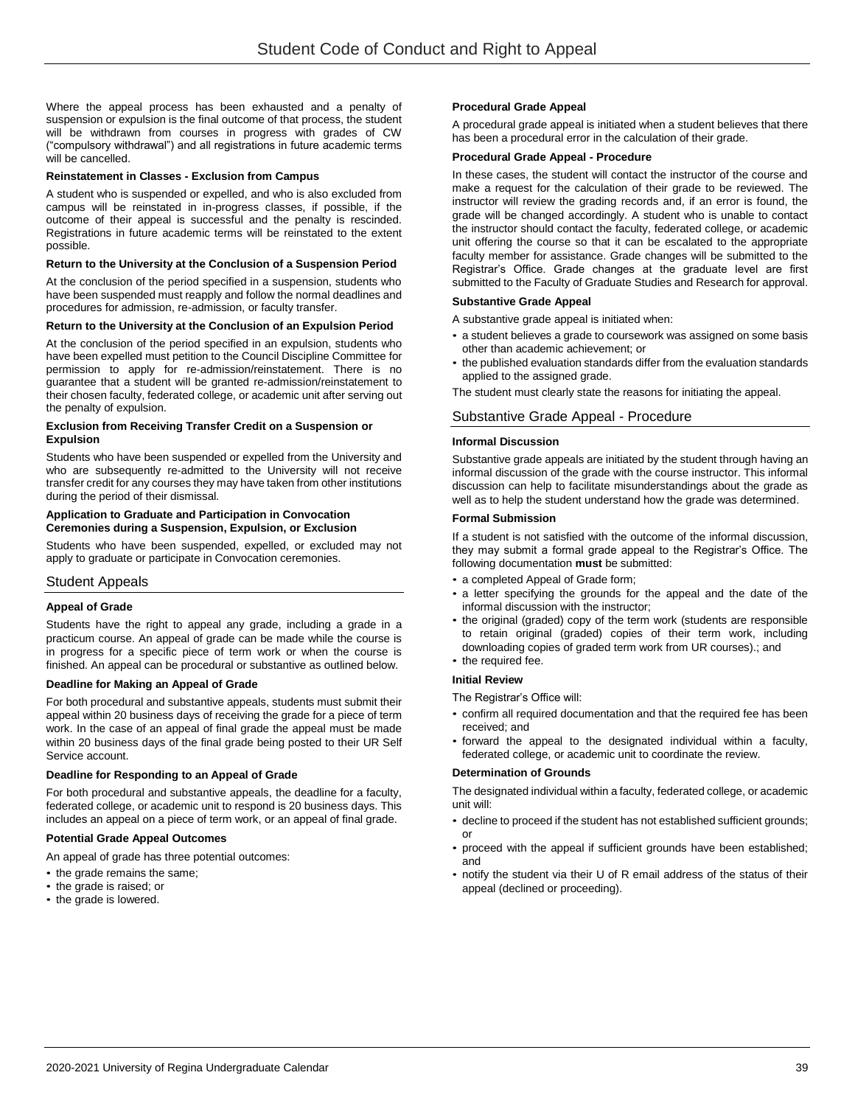Where the appeal process has been exhausted and a penalty of suspension or expulsion is the final outcome of that process, the student will be withdrawn from courses in progress with grades of CW ("compulsory withdrawal") and all registrations in future academic terms will be cancelled.

#### **Reinstatement in Classes - Exclusion from Campus**

A student who is suspended or expelled, and who is also excluded from campus will be reinstated in in-progress classes, if possible, if the outcome of their appeal is successful and the penalty is rescinded. Registrations in future academic terms will be reinstated to the extent possible.

#### **Return to the University at the Conclusion of a Suspension Period**

At the conclusion of the period specified in a suspension, students who have been suspended must reapply and follow the normal deadlines and procedures for admission, re-admission, or faculty transfer.

#### **Return to the University at the Conclusion of an Expulsion Period**

At the conclusion of the period specified in an expulsion, students who have been expelled must petition to the Council Discipline Committee for permission to apply for re-admission/reinstatement. There is no guarantee that a student will be granted re-admission/reinstatement to their chosen faculty, federated college, or academic unit after serving out the penalty of expulsion.

#### **Exclusion from Receiving Transfer Credit on a Suspension or Expulsion**

Students who have been suspended or expelled from the University and who are subsequently re-admitted to the University will not receive transfer credit for any courses they may have taken from other institutions during the period of their dismissal.

#### **Application to Graduate and Participation in Convocation Ceremonies during a Suspension, Expulsion, or Exclusion**

Students who have been suspended, expelled, or excluded may not apply to graduate or participate in Convocation ceremonies.

## Student Appeals

## **Appeal of Grade**

Students have the right to appeal any grade, including a grade in a practicum course. An appeal of grade can be made while the course is in progress for a specific piece of term work or when the course is finished. An appeal can be procedural or substantive as outlined below.

#### **Deadline for Making an Appeal of Grade**

For both procedural and substantive appeals, students must submit their appeal within 20 business days of receiving the grade for a piece of term work. In the case of an appeal of final grade the appeal must be made within 20 business days of the final grade being posted to their UR Self Service account.

## **Deadline for Responding to an Appeal of Grade**

For both procedural and substantive appeals, the deadline for a faculty, federated college, or academic unit to respond is 20 business days. This includes an appeal on a piece of term work, or an appeal of final grade.

## **Potential Grade Appeal Outcomes**

An appeal of grade has three potential outcomes:

- the grade remains the same;
- the grade is raised; or
- the grade is lowered.

#### **Procedural Grade Appeal**

A procedural grade appeal is initiated when a student believes that there has been a procedural error in the calculation of their grade.

#### **Procedural Grade Appeal - Procedure**

In these cases, the student will contact the instructor of the course and make a request for the calculation of their grade to be reviewed. The instructor will review the grading records and, if an error is found, the grade will be changed accordingly. A student who is unable to contact the instructor should contact the faculty, federated college, or academic unit offering the course so that it can be escalated to the appropriate faculty member for assistance. Grade changes will be submitted to the Registrar's Office. Grade changes at the graduate level are first submitted to the Faculty of Graduate Studies and Research for approval.

# **Substantive Grade Appeal**

A substantive grade appeal is initiated when:

- a student believes a grade to coursework was assigned on some basis other than academic achievement; or
- the published evaluation standards differ from the evaluation standards applied to the assigned grade.

The student must clearly state the reasons for initiating the appeal.

## Substantive Grade Appeal - Procedure

#### **Informal Discussion**

Substantive grade appeals are initiated by the student through having an informal discussion of the grade with the course instructor. This informal discussion can help to facilitate misunderstandings about the grade as well as to help the student understand how the grade was determined.

#### **Formal Submission**

If a student is not satisfied with the outcome of the informal discussion, they may submit a formal grade appeal to the Registrar's Office. The following documentation **must** be submitted:

- a completed Appeal of Grade form;
- a letter specifying the grounds for the appeal and the date of the informal discussion with the instructor;
- the original (graded) copy of the term work (students are responsible to retain original (graded) copies of their term work, including downloading copies of graded term work from UR courses).; and
- the required fee.

## **Initial Review**

The Registrar's Office will:

- confirm all required documentation and that the required fee has been received; and
- forward the appeal to the designated individual within a faculty, federated college, or academic unit to coordinate the review.

#### **Determination of Grounds**

The designated individual within a faculty, federated college, or academic unit will:

- decline to proceed if the student has not established sufficient grounds; or
- proceed with the appeal if sufficient grounds have been established; and
- notify the student via their U of R email address of the status of their appeal (declined or proceeding).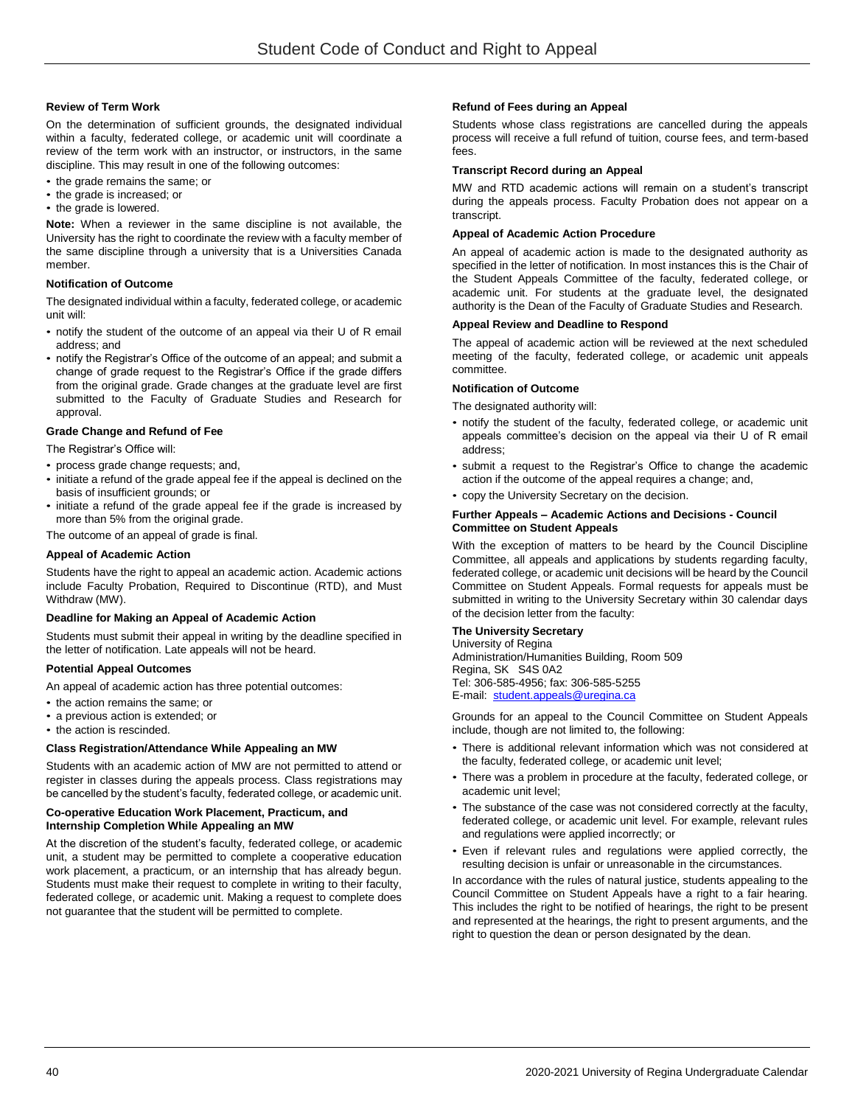## **Review of Term Work**

On the determination of sufficient grounds, the designated individual within a faculty, federated college, or academic unit will coordinate a review of the term work with an instructor, or instructors, in the same discipline. This may result in one of the following outcomes:

- the grade remains the same; or
- the grade is increased; or
- the grade is lowered.

**Note:** When a reviewer in the same discipline is not available, the University has the right to coordinate the review with a faculty member of the same discipline through a university that is a Universities Canada member.

## **Notification of Outcome**

The designated individual within a faculty, federated college, or academic unit will:

- notify the student of the outcome of an appeal via their U of R email address; and
- notify the Registrar's Office of the outcome of an appeal; and submit a change of grade request to the Registrar's Office if the grade differs from the original grade. Grade changes at the graduate level are first submitted to the Faculty of Graduate Studies and Research for approval.

#### **Grade Change and Refund of Fee**

The Registrar's Office will:

- process grade change requests; and,
- initiate a refund of the grade appeal fee if the appeal is declined on the basis of insufficient grounds; or
- initiate a refund of the grade appeal fee if the grade is increased by more than 5% from the original grade.

The outcome of an appeal of grade is final.

#### **Appeal of Academic Action**

Students have the right to appeal an academic action. Academic actions include Faculty Probation, Required to Discontinue (RTD), and Must Withdraw (MW).

## **Deadline for Making an Appeal of Academic Action**

Students must submit their appeal in writing by the deadline specified in the letter of notification. Late appeals will not be heard.

## **Potential Appeal Outcomes**

An appeal of academic action has three potential outcomes:

- the action remains the same; or
- a previous action is extended; or
- the action is rescinded.

## **Class Registration/Attendance While Appealing an MW**

Students with an academic action of MW are not permitted to attend or register in classes during the appeals process. Class registrations may be cancelled by the student's faculty, federated college, or academic unit.

## **Co-operative Education Work Placement, Practicum, and Internship Completion While Appealing an MW**

At the discretion of the student's faculty, federated college, or academic unit, a student may be permitted to complete a cooperative education work placement, a practicum, or an internship that has already begun. Students must make their request to complete in writing to their faculty, federated college, or academic unit. Making a request to complete does not guarantee that the student will be permitted to complete.

#### **Refund of Fees during an Appeal**

Students whose class registrations are cancelled during the appeals process will receive a full refund of tuition, course fees, and term-based fees.

#### **Transcript Record during an Appeal**

MW and RTD academic actions will remain on a student's transcript during the appeals process. Faculty Probation does not appear on a transcript.

#### **Appeal of Academic Action Procedure**

An appeal of academic action is made to the designated authority as specified in the letter of notification. In most instances this is the Chair of the Student Appeals Committee of the faculty, federated college, or academic unit. For students at the graduate level, the designated authority is the Dean of the Faculty of Graduate Studies and Research.

#### **Appeal Review and Deadline to Respond**

The appeal of academic action will be reviewed at the next scheduled meeting of the faculty, federated college, or academic unit appeals committee.

#### **Notification of Outcome**

The designated authority will:

- notify the student of the faculty, federated college, or academic unit appeals committee's decision on the appeal via their U of R email address;
- submit a request to the Registrar's Office to change the academic action if the outcome of the appeal requires a change; and,
- copy the University Secretary on the decision.

#### **Further Appeals – Academic Actions and Decisions - Council Committee on Student Appeals**

With the exception of matters to be heard by the Council Discipline Committee, all appeals and applications by students regarding faculty, federated college, or academic unit decisions will be heard by the Council Committee on Student Appeals. Formal requests for appeals must be submitted in writing to the University Secretary within 30 calendar days of the decision letter from the faculty:

# **The University Secretary**

University of Regina Administration/Humanities Building, Room 509 Regina, SK S4S 0A2 Tel: 306-585-4956; fax: 306-585-5255 E-mail: [student.appeals@uregina.ca](mailto:student.appeals@uregina.ca) 

Grounds for an appeal to the Council Committee on Student Appeals include, though are not limited to, the following:

- There is additional relevant information which was not considered at the faculty, federated college, or academic unit level;
- There was a problem in procedure at the faculty, federated college, or academic unit level;
- The substance of the case was not considered correctly at the faculty, federated college, or academic unit level. For example, relevant rules and regulations were applied incorrectly; or
- Even if relevant rules and regulations were applied correctly, the resulting decision is unfair or unreasonable in the circumstances.

In accordance with the rules of natural justice, students appealing to the Council Committee on Student Appeals have a right to a fair hearing. This includes the right to be notified of hearings, the right to be present and represented at the hearings, the right to present arguments, and the right to question the dean or person designated by the dean.